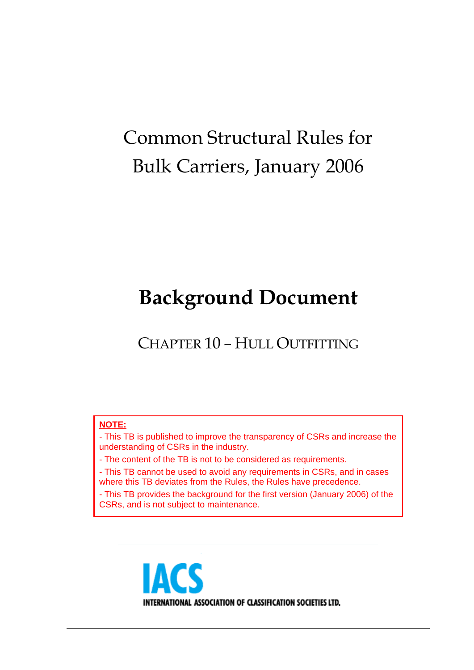# Common Structural Rules for Bulk Carriers, January 2006

# **Background Document**

CHAPTER 10 – HULL OUTFITTING

# **NOTE:**

- This TB is published to improve the transparency of CSRs and increase the understanding of CSRs in the industry.

- The content of the TB is not to be considered as requirements.

- This TB cannot be used to avoid any requirements in CSRs, and in cases where this TB deviates from the Rules, the Rules have precedence.

- This TB provides the background for the first version (January 2006) of the CSRs, and is not subject to maintenance.

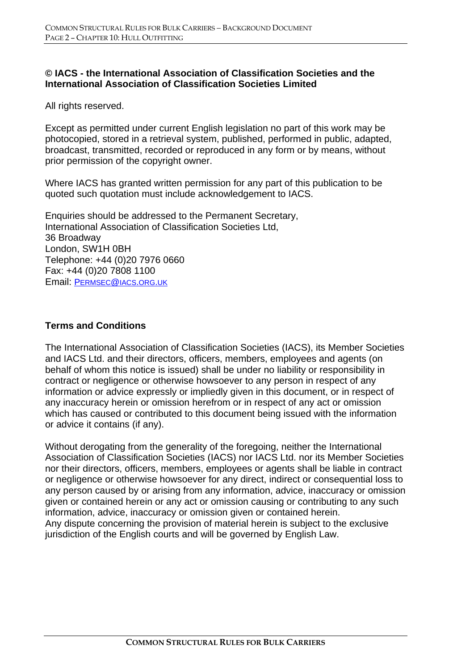# **© IACS - the International Association of Classification Societies and the International Association of Classification Societies Limited**

All rights reserved.

Except as permitted under current English legislation no part of this work may be photocopied, stored in a retrieval system, published, performed in public, adapted, broadcast, transmitted, recorded or reproduced in any form or by means, without prior permission of the copyright owner.

Where IACS has granted written permission for any part of this publication to be quoted such quotation must include acknowledgement to IACS.

Enquiries should be addressed to the Permanent Secretary, International Association of Classification Societies Ltd, 36 Broadway London, SW1H 0BH Telephone: +44 (0)20 7976 0660 Fax: +44 (0)20 7808 1100 Email: PERMSEC@IACS.ORG.UK

# **Terms and Conditions**

The International Association of Classification Societies (IACS), its Member Societies and IACS Ltd. and their directors, officers, members, employees and agents (on behalf of whom this notice is issued) shall be under no liability or responsibility in contract or negligence or otherwise howsoever to any person in respect of any information or advice expressly or impliedly given in this document, or in respect of any inaccuracy herein or omission herefrom or in respect of any act or omission which has caused or contributed to this document being issued with the information or advice it contains (if any).

Without derogating from the generality of the foregoing, neither the International Association of Classification Societies (IACS) nor IACS Ltd. nor its Member Societies nor their directors, officers, members, employees or agents shall be liable in contract or negligence or otherwise howsoever for any direct, indirect or consequential loss to any person caused by or arising from any information, advice, inaccuracy or omission given or contained herein or any act or omission causing or contributing to any such information, advice, inaccuracy or omission given or contained herein. Any dispute concerning the provision of material herein is subject to the exclusive jurisdiction of the English courts and will be governed by English Law.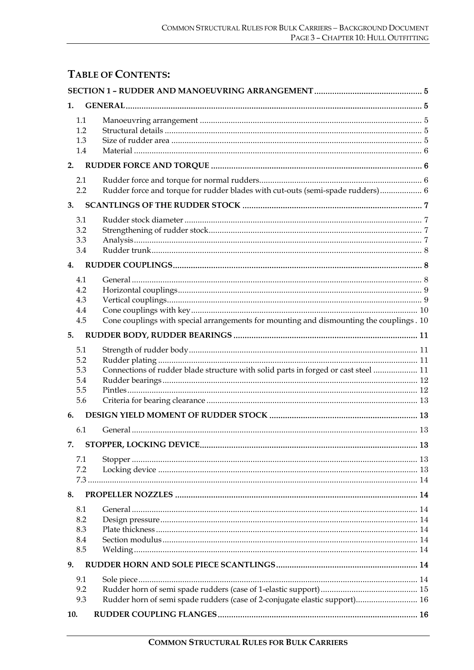# **TABLE OF CONTENTS:**

| 1.  |                                                                                          |  |
|-----|------------------------------------------------------------------------------------------|--|
| 1.1 |                                                                                          |  |
| 1.2 |                                                                                          |  |
| 1.3 |                                                                                          |  |
| 1.4 |                                                                                          |  |
| 2.  |                                                                                          |  |
| 2.1 |                                                                                          |  |
| 2.2 | Rudder force and torque for rudder blades with cut-outs (semi-spade rudders) 6           |  |
| 3.  |                                                                                          |  |
| 3.1 |                                                                                          |  |
| 3.2 |                                                                                          |  |
| 3.3 |                                                                                          |  |
| 3.4 |                                                                                          |  |
| 4.  |                                                                                          |  |
| 4.1 |                                                                                          |  |
| 4.2 |                                                                                          |  |
| 4.3 |                                                                                          |  |
| 4.4 |                                                                                          |  |
| 4.5 | Cone couplings with special arrangements for mounting and dismounting the couplings . 10 |  |
| 5.  |                                                                                          |  |
| 5.1 |                                                                                          |  |
| 5.2 |                                                                                          |  |
| 5.3 | Connections of rudder blade structure with solid parts in forged or cast steel  11       |  |
| 5.4 |                                                                                          |  |
| 5.5 |                                                                                          |  |
| 5.6 |                                                                                          |  |
| 6.  |                                                                                          |  |
| 6.1 |                                                                                          |  |
| 7.  |                                                                                          |  |
| 7.1 |                                                                                          |  |
| 7.2 |                                                                                          |  |
|     |                                                                                          |  |
| 8.  |                                                                                          |  |
| 8.1 |                                                                                          |  |
| 8.2 |                                                                                          |  |
| 8.3 |                                                                                          |  |
| 8.4 |                                                                                          |  |
| 8.5 |                                                                                          |  |
| 9.  |                                                                                          |  |
| 9.1 |                                                                                          |  |
| 9.2 |                                                                                          |  |
| 9.3 | Rudder horn of semi spade rudders (case of 2-conjugate elastic support) 16               |  |
| 10. |                                                                                          |  |
|     |                                                                                          |  |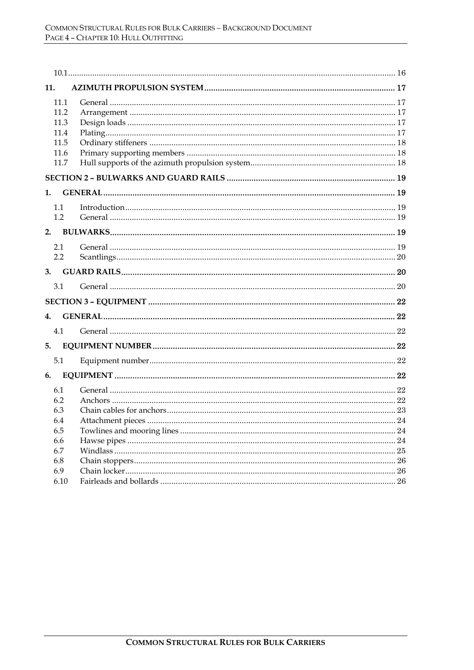| 11.  |  |
|------|--|
| 11.1 |  |
| 11.2 |  |
| 11.3 |  |
| 11.4 |  |
| 11.5 |  |
| 11.6 |  |
| 11.7 |  |
|      |  |
| 1.   |  |
| 1.1  |  |
| 1.2  |  |
|      |  |
|      |  |
| 2.1  |  |
| 2.2  |  |
|      |  |
| 3.1  |  |
|      |  |
| 4.   |  |
| 4.1  |  |
| 5.   |  |
|      |  |
| 5.1  |  |
| 6.   |  |
| 6.1  |  |
| 6.2  |  |
| 6.3  |  |
| 6.4  |  |
| 6.5  |  |
| 6.6  |  |
| 6.7  |  |
| 6.8  |  |
| 6.9  |  |
| 6.10 |  |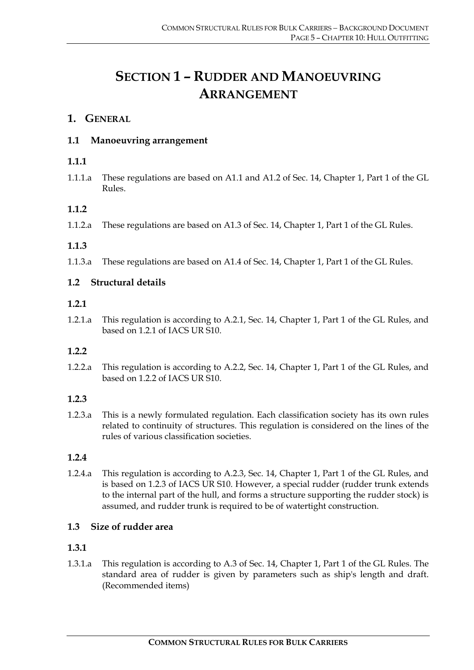# **SECTION 1 – RUDDER AND MANOEUVRING ARRANGEMENT**

# **1. GENERAL**

# **1.1 Manoeuvring arrangement**

# **1.1.1**

1.1.1.a These regulations are based on A1.1 and A1.2 of Sec. 14, Chapter 1, Part 1 of the GL Rules.

# **1.1.2**

1.1.2.a These regulations are based on A1.3 of Sec. 14, Chapter 1, Part 1 of the GL Rules.

# **1.1.3**

1.1.3.a These regulations are based on A1.4 of Sec. 14, Chapter 1, Part 1 of the GL Rules.

# **1.2 Structural details**

#### **1.2.1**

1.2.1.a This regulation is according to A.2.1, Sec. 14, Chapter 1, Part 1 of the GL Rules, and based on 1.2.1 of IACS UR S10.

# **1.2.2**

1.2.2.a This regulation is according to A.2.2, Sec. 14, Chapter 1, Part 1 of the GL Rules, and based on 1.2.2 of IACS UR S10.

# **1.2.3**

1.2.3.a This is a newly formulated regulation. Each classification society has its own rules related to continuity of structures. This regulation is considered on the lines of the rules of various classification societies.

# **1.2.4**

1.2.4.a This regulation is according to A.2.3, Sec. 14, Chapter 1, Part 1 of the GL Rules, and is based on 1.2.3 of IACS UR S10. However, a special rudder (rudder trunk extends to the internal part of the hull, and forms a structure supporting the rudder stock) is assumed, and rudder trunk is required to be of watertight construction.

# **1.3 Size of rudder area**

# **1.3.1**

1.3.1.a This regulation is according to A.3 of Sec. 14, Chapter 1, Part 1 of the GL Rules. The standard area of rudder is given by parameters such as ship's length and draft. (Recommended items)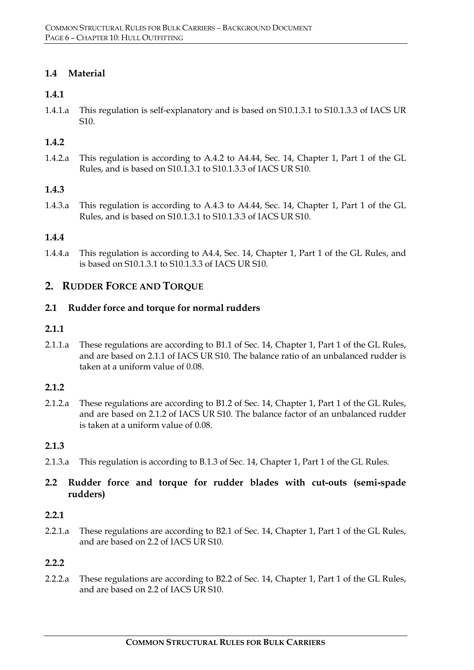# **1.4 Material**

# **1.4.1**

1.4.1.a This regulation is self-explanatory and is based on S10.1.3.1 to S10.1.3.3 of IACS UR S10.

# **1.4.2**

1.4.2.a This regulation is according to A.4.2 to A4.44, Sec. 14, Chapter 1, Part 1 of the GL Rules, and is based on S10.1.3.1 to S10.1.3.3 of IACS UR S10.

#### **1.4.3**

1.4.3.a This regulation is according to A.4.3 to A4.44, Sec. 14, Chapter 1, Part 1 of the GL Rules, and is based on S10.1.3.1 to S10.1.3.3 of IACS UR S10.

#### **1.4.4**

1.4.4.a This regulation is according to A4.4, Sec. 14, Chapter 1, Part 1 of the GL Rules, and is based on S10.1.3.1 to S10.1.3.3 of IACS UR S10.

# **2. RUDDER FORCE AND TORQUE**

#### **2.1 Rudder force and torque for normal rudders**

#### **2.1.1**

2.1.1.a These regulations are according to B1.1 of Sec. 14, Chapter 1, Part 1 of the GL Rules, and are based on 2.1.1 of IACS UR S10. The balance ratio of an unbalanced rudder is taken at a uniform value of 0.08.

#### **2.1.2**

2.1.2.a These regulations are according to B1.2 of Sec. 14, Chapter 1, Part 1 of the GL Rules, and are based on 2.1.2 of IACS UR S10. The balance factor of an unbalanced rudder is taken at a uniform value of 0.08.

#### **2.1.3**

2.1.3.a This regulation is according to B.1.3 of Sec. 14, Chapter 1, Part 1 of the GL Rules.

# **2.2 Rudder force and torque for rudder blades with cut-outs (semi-spade rudders)**

#### **2.2.1**

2.2.1.a These regulations are according to B2.1 of Sec. 14, Chapter 1, Part 1 of the GL Rules, and are based on 2.2 of IACS UR S10.

#### **2.2.2**

2.2.2.a These regulations are according to B2.2 of Sec. 14, Chapter 1, Part 1 of the GL Rules, and are based on 2.2 of IACS UR S10.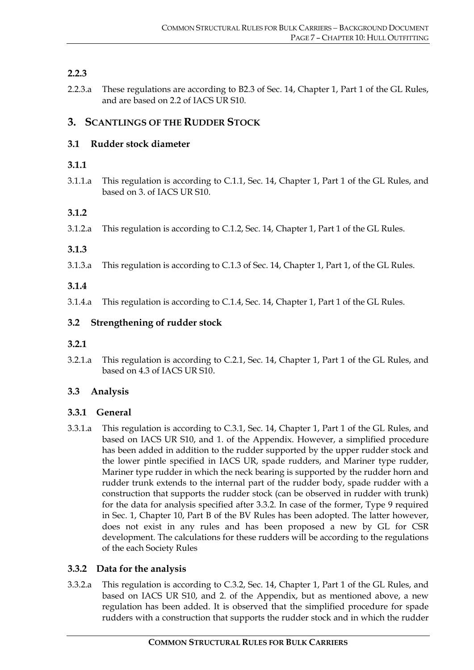# **2.2.3**

2.2.3.a These regulations are according to B2.3 of Sec. 14, Chapter 1, Part 1 of the GL Rules, and are based on 2.2 of IACS UR S10.

# **3. SCANTLINGS OF THE RUDDER STOCK**

# **3.1 Rudder stock diameter**

# **3.1.1**

3.1.1.a This regulation is according to C.1.1, Sec. 14, Chapter 1, Part 1 of the GL Rules, and based on 3. of IACS UR S10.

# **3.1.2**

3.1.2.a This regulation is according to C.1.2, Sec. 14, Chapter 1, Part 1 of the GL Rules.

# **3.1.3**

3.1.3.a This regulation is according to C.1.3 of Sec. 14, Chapter 1, Part 1, of the GL Rules.

# **3.1.4**

3.1.4.a This regulation is according to C.1.4, Sec. 14, Chapter 1, Part 1 of the GL Rules.

# **3.2 Strengthening of rudder stock**

- **3.2.1**
- 3.2.1.a This regulation is according to C.2.1, Sec. 14, Chapter 1, Part 1 of the GL Rules, and based on 4.3 of IACS UR S10.

# **3.3 Analysis**

# **3.3.1 General**

3.3.1.a This regulation is according to C.3.1, Sec. 14, Chapter 1, Part 1 of the GL Rules, and based on IACS UR S10, and 1. of the Appendix. However, a simplified procedure has been added in addition to the rudder supported by the upper rudder stock and the lower pintle specified in IACS UR, spade rudders, and Mariner type rudder, Mariner type rudder in which the neck bearing is supported by the rudder horn and rudder trunk extends to the internal part of the rudder body, spade rudder with a construction that supports the rudder stock (can be observed in rudder with trunk) for the data for analysis specified after 3.3.2. In case of the former, Type 9 required in Sec. 1, Chapter 10, Part B of the BV Rules has been adopted. The latter however, does not exist in any rules and has been proposed a new by GL for CSR development. The calculations for these rudders will be according to the regulations of the each Society Rules

# **3.3.2 Data for the analysis**

3.3.2.a This regulation is according to C.3.2, Sec. 14, Chapter 1, Part 1 of the GL Rules, and based on IACS UR S10, and 2. of the Appendix, but as mentioned above, a new regulation has been added. It is observed that the simplified procedure for spade rudders with a construction that supports the rudder stock and in which the rudder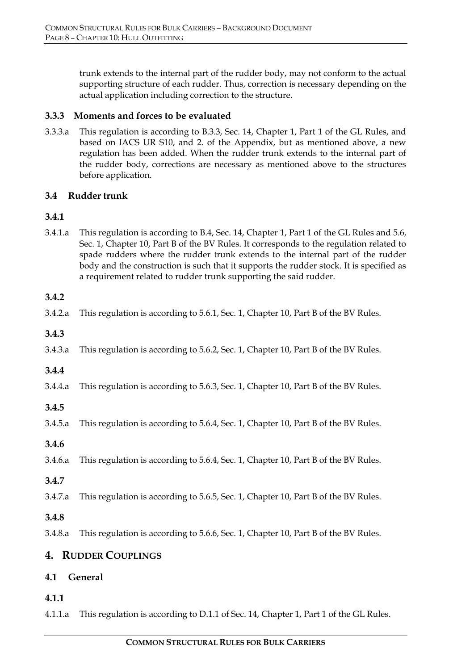trunk extends to the internal part of the rudder body, may not conform to the actual supporting structure of each rudder. Thus, correction is necessary depending on the actual application including correction to the structure.

# **3.3.3 Moments and forces to be evaluated**

3.3.3.a This regulation is according to B.3.3, Sec. 14, Chapter 1, Part 1 of the GL Rules, and based on IACS UR S10, and 2. of the Appendix, but as mentioned above, a new regulation has been added. When the rudder trunk extends to the internal part of the rudder body, corrections are necessary as mentioned above to the structures before application.

# **3.4 Rudder trunk**

# **3.4.1**

3.4.1.a This regulation is according to B.4, Sec. 14, Chapter 1, Part 1 of the GL Rules and 5.6, Sec. 1, Chapter 10, Part B of the BV Rules. It corresponds to the regulation related to spade rudders where the rudder trunk extends to the internal part of the rudder body and the construction is such that it supports the rudder stock. It is specified as a requirement related to rudder trunk supporting the said rudder.

# **3.4.2**

| 3.4.2.a | This regulation is according to 5.6.1, Sec. 1, Chapter 10, Part B of the BV Rules. |
|---------|------------------------------------------------------------------------------------|
| 3.4.3   |                                                                                    |
| 3.4.3.a | This regulation is according to 5.6.2, Sec. 1, Chapter 10, Part B of the BV Rules. |
| 3.4.4   |                                                                                    |
| 3.4.4.a | This regulation is according to 5.6.3, Sec. 1, Chapter 10, Part B of the BV Rules. |
| 3.4.5   |                                                                                    |
| 3.4.5.a | This regulation is according to 5.6.4, Sec. 1, Chapter 10, Part B of the BV Rules. |
| 3.4.6   |                                                                                    |
| 3.4.6.a | This regulation is according to 5.6.4, Sec. 1, Chapter 10, Part B of the BV Rules. |
| 3.4.7   |                                                                                    |
| 3.4.7.a | This regulation is according to 5.6.5, Sec. 1, Chapter 10, Part B of the BV Rules. |

# **3.4.8**

3.4.8.a This regulation is according to 5.6.6, Sec. 1, Chapter 10, Part B of the BV Rules.

# **4. RUDDER COUPLINGS**

# **4.1 General**

# **4.1.1**

4.1.1.a This regulation is according to D.1.1 of Sec. 14, Chapter 1, Part 1 of the GL Rules.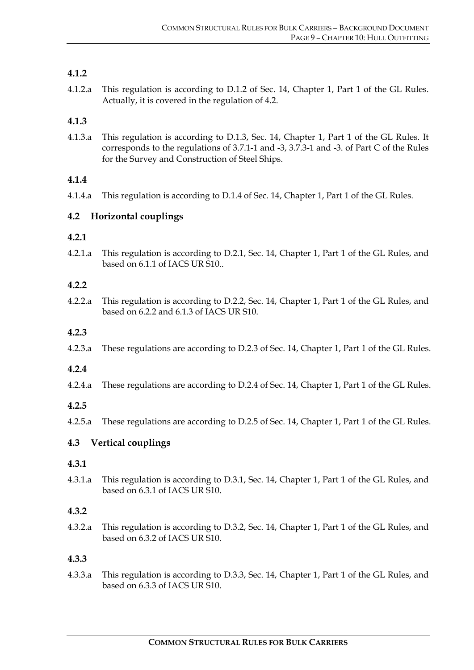# **4.1.2**

4.1.2.a This regulation is according to D.1.2 of Sec. 14, Chapter 1, Part 1 of the GL Rules. Actually, it is covered in the regulation of 4.2.

# **4.1.3**

4.1.3.a This regulation is according to D.1.3, Sec. 14, Chapter 1, Part 1 of the GL Rules. It corresponds to the regulations of 3.7.1-1 and -3, 3.7.3-1 and -3. of Part C of the Rules for the Survey and Construction of Steel Ships.

# **4.1.4**

4.1.4.a This regulation is according to D.1.4 of Sec. 14, Chapter 1, Part 1 of the GL Rules.

# **4.2 Horizontal couplings**

#### **4.2.1**

4.2.1.a This regulation is according to D.2.1, Sec. 14, Chapter 1, Part 1 of the GL Rules, and based on 6.1.1 of IACS UR S10..

#### **4.2.2**

4.2.2.a This regulation is according to D.2.2, Sec. 14, Chapter 1, Part 1 of the GL Rules, and based on 6.2.2 and 6.1.3 of IACS UR S10.

### **4.2.3**

4.2.3.a These regulations are according to D.2.3 of Sec. 14, Chapter 1, Part 1 of the GL Rules.

# **4.2.4**

4.2.4.a These regulations are according to D.2.4 of Sec. 14, Chapter 1, Part 1 of the GL Rules.

# **4.2.5**

4.2.5.a These regulations are according to D.2.5 of Sec. 14, Chapter 1, Part 1 of the GL Rules.

# **4.3 Vertical couplings**

#### **4.3.1**

4.3.1.a This regulation is according to D.3.1, Sec. 14, Chapter 1, Part 1 of the GL Rules, and based on 6.3.1 of IACS UR S10.

# **4.3.2**

4.3.2.a This regulation is according to D.3.2, Sec. 14, Chapter 1, Part 1 of the GL Rules, and based on 6.3.2 of IACS UR S10.

# **4.3.3**

4.3.3.a This regulation is according to D.3.3, Sec. 14, Chapter 1, Part 1 of the GL Rules, and based on 6.3.3 of IACS UR S10.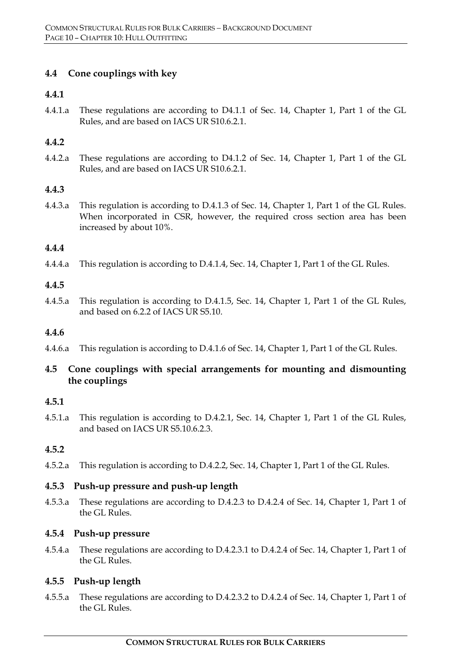# **4.4 Cone couplings with key**

### **4.4.1**

4.4.1.a These regulations are according to D4.1.1 of Sec. 14, Chapter 1, Part 1 of the GL Rules, and are based on IACS UR S10.6.2.1.

### **4.4.2**

4.4.2.a These regulations are according to D4.1.2 of Sec. 14, Chapter 1, Part 1 of the GL Rules, and are based on IACS UR S10.6.2.1.

#### **4.4.3**

4.4.3.a This regulation is according to D.4.1.3 of Sec. 14, Chapter 1, Part 1 of the GL Rules. When incorporated in CSR, however, the required cross section area has been increased by about 10%.

#### **4.4.4**

4.4.4.a This regulation is according to D.4.1.4, Sec. 14, Chapter 1, Part 1 of the GL Rules.

#### **4.4.5**

4.4.5.a This regulation is according to D.4.1.5, Sec. 14, Chapter 1, Part 1 of the GL Rules, and based on 6.2.2 of IACS UR S5.10.

#### **4.4.6**

4.4.6.a This regulation is according to D.4.1.6 of Sec. 14, Chapter 1, Part 1 of the GL Rules.

# **4.5 Cone couplings with special arrangements for mounting and dismounting the couplings**

#### **4.5.1**

4.5.1.a This regulation is according to D.4.2.1, Sec. 14, Chapter 1, Part 1 of the GL Rules, and based on IACS UR S5.10.6.2.3.

# **4.5.2**

4.5.2.a This regulation is according to D.4.2.2, Sec. 14, Chapter 1, Part 1 of the GL Rules.

# **4.5.3 Push-up pressure and push-up length**

4.5.3.a These regulations are according to D.4.2.3 to D.4.2.4 of Sec. 14, Chapter 1, Part 1 of the GL Rules.

#### **4.5.4 Push-up pressure**

4.5.4.a These regulations are according to D.4.2.3.1 to D.4.2.4 of Sec. 14, Chapter 1, Part 1 of the GL Rules.

# **4.5.5 Push-up length**

4.5.5.a These regulations are according to D.4.2.3.2 to D.4.2.4 of Sec. 14, Chapter 1, Part 1 of the GL Rules.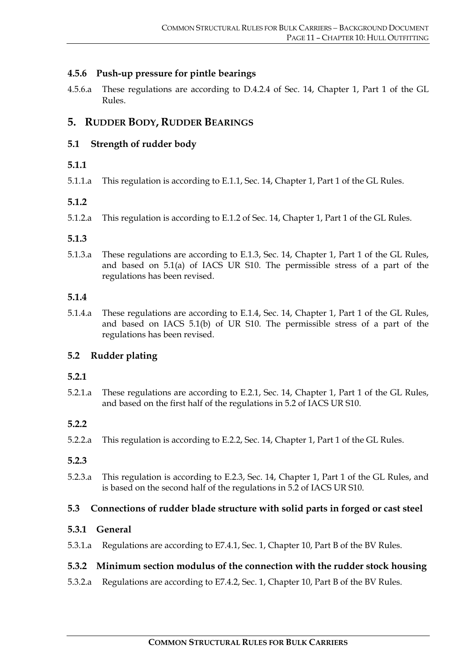# **4.5.6 Push-up pressure for pintle bearings**

4.5.6.a These regulations are according to D.4.2.4 of Sec. 14, Chapter 1, Part 1 of the GL Rules.

# **5. RUDDER BODY, RUDDER BEARINGS**

# **5.1 Strength of rudder body**

# **5.1.1**

5.1.1.a This regulation is according to E.1.1, Sec. 14, Chapter 1, Part 1 of the GL Rules.

# **5.1.2**

5.1.2.a This regulation is according to E.1.2 of Sec. 14, Chapter 1, Part 1 of the GL Rules.

# **5.1.3**

5.1.3.a These regulations are according to E.1.3, Sec. 14, Chapter 1, Part 1 of the GL Rules, and based on 5.1(a) of IACS UR S10. The permissible stress of a part of the regulations has been revised.

#### **5.1.4**

5.1.4.a These regulations are according to E.1.4, Sec. 14, Chapter 1, Part 1 of the GL Rules, and based on IACS 5.1(b) of UR S10. The permissible stress of a part of the regulations has been revised.

# **5.2 Rudder plating**

# **5.2.1**

5.2.1.a These regulations are according to E.2.1, Sec. 14, Chapter 1, Part 1 of the GL Rules, and based on the first half of the regulations in 5.2 of IACS UR S10.

# **5.2.2**

5.2.2.a This regulation is according to E.2.2, Sec. 14, Chapter 1, Part 1 of the GL Rules.

# **5.2.3**

5.2.3.a This regulation is according to E.2.3, Sec. 14, Chapter 1, Part 1 of the GL Rules, and is based on the second half of the regulations in 5.2 of IACS UR S10.

# **5.3 Connections of rudder blade structure with solid parts in forged or cast steel**

# **5.3.1 General**

5.3.1.a Regulations are according to E7.4.1, Sec. 1, Chapter 10, Part B of the BV Rules.

# **5.3.2 Minimum section modulus of the connection with the rudder stock housing**

5.3.2.a Regulations are according to E7.4.2, Sec. 1, Chapter 10, Part B of the BV Rules.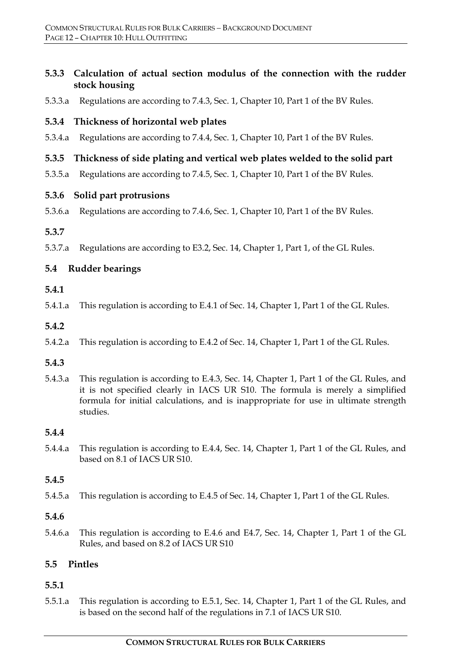# **5.3.3 Calculation of actual section modulus of the connection with the rudder stock housing**

5.3.3.a Regulations are according to 7.4.3, Sec. 1, Chapter 10, Part 1 of the BV Rules.

# **5.3.4 Thickness of horizontal web plates**

5.3.4.a Regulations are according to 7.4.4, Sec. 1, Chapter 10, Part 1 of the BV Rules.

# **5.3.5 Thickness of side plating and vertical web plates welded to the solid part**

5.3.5.a Regulations are according to 7.4.5, Sec. 1, Chapter 10, Part 1 of the BV Rules.

#### **5.3.6 Solid part protrusions**

5.3.6.a Regulations are according to 7.4.6, Sec. 1, Chapter 10, Part 1 of the BV Rules.

#### **5.3.7**

5.3.7.a Regulations are according to E3.2, Sec. 14, Chapter 1, Part 1, of the GL Rules.

# **5.4 Rudder bearings**

#### **5.4.1**

5.4.1.a This regulation is according to E.4.1 of Sec. 14, Chapter 1, Part 1 of the GL Rules.

#### **5.4.2**

5.4.2.a This regulation is according to E.4.2 of Sec. 14, Chapter 1, Part 1 of the GL Rules.

# **5.4.3**

5.4.3.a This regulation is according to E.4.3, Sec. 14, Chapter 1, Part 1 of the GL Rules, and it is not specified clearly in IACS UR S10. The formula is merely a simplified formula for initial calculations, and is inappropriate for use in ultimate strength studies.

# **5.4.4**

5.4.4.a This regulation is according to E.4.4, Sec. 14, Chapter 1, Part 1 of the GL Rules, and based on 8.1 of IACS UR S10.

# **5.4.5**

5.4.5.a This regulation is according to E.4.5 of Sec. 14, Chapter 1, Part 1 of the GL Rules.

#### **5.4.6**

5.4.6.a This regulation is according to E.4.6 and E4.7, Sec. 14, Chapter 1, Part 1 of the GL Rules, and based on 8.2 of IACS UR S10

# **5.5 Pintles**

# **5.5.1**

5.5.1.a This regulation is according to E.5.1, Sec. 14, Chapter 1, Part 1 of the GL Rules, and is based on the second half of the regulations in 7.1 of IACS UR S10.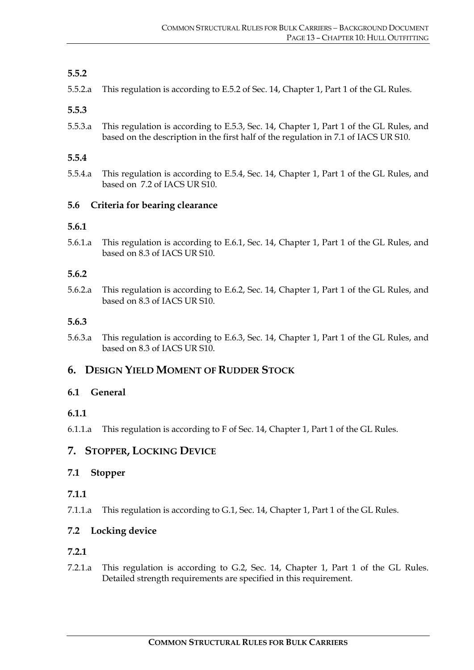# **5.5.2**

5.5.2.a This regulation is according to E.5.2 of Sec. 14, Chapter 1, Part 1 of the GL Rules.

# **5.5.3**

5.5.3.a This regulation is according to E.5.3, Sec. 14, Chapter 1, Part 1 of the GL Rules, and based on the description in the first half of the regulation in 7.1 of IACS UR S10.

# **5.5.4**

5.5.4.a This regulation is according to E.5.4, Sec. 14, Chapter 1, Part 1 of the GL Rules, and based on 7.2 of IACS UR S10.

# **5.6 Criteria for bearing clearance**

# **5.6.1**

5.6.1.a This regulation is according to E.6.1, Sec. 14, Chapter 1, Part 1 of the GL Rules, and based on 8.3 of IACS UR S10.

# **5.6.2**

5.6.2.a This regulation is according to E.6.2, Sec. 14, Chapter 1, Part 1 of the GL Rules, and based on 8.3 of IACS UR S10.

# **5.6.3**

5.6.3.a This regulation is according to E.6.3, Sec. 14, Chapter 1, Part 1 of the GL Rules, and based on 8.3 of IACS UR S10.

# **6. DESIGN YIELD MOMENT OF RUDDER STOCK**

# **6.1 General**

# **6.1.1**

6.1.1.a This regulation is according to F of Sec. 14, Chapter 1, Part 1 of the GL Rules.

# **7. STOPPER, LOCKING DEVICE**

# **7.1 Stopper**

# **7.1.1**

7.1.1.a This regulation is according to G.1, Sec. 14, Chapter 1, Part 1 of the GL Rules.

# **7.2 Locking device**

# **7.2.1**

7.2.1.a This regulation is according to G.2, Sec. 14, Chapter 1, Part 1 of the GL Rules. Detailed strength requirements are specified in this requirement.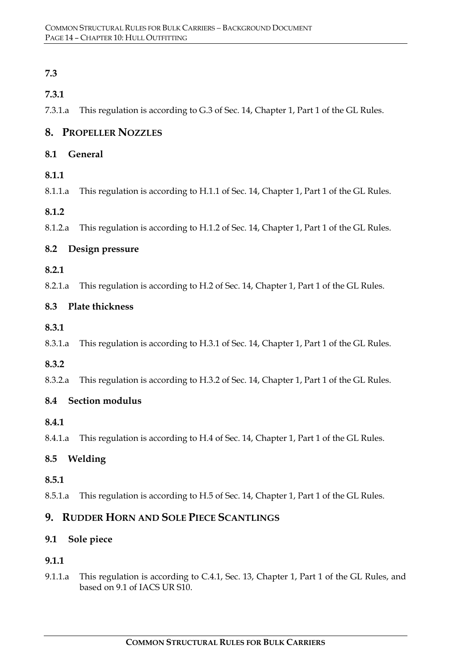# **7.3**

# **7.3.1**

7.3.1.a This regulation is according to G.3 of Sec. 14, Chapter 1, Part 1 of the GL Rules.

# **8. PROPELLER NOZZLES**

# **8.1 General**

# **8.1.1**

8.1.1.a This regulation is according to H.1.1 of Sec. 14, Chapter 1, Part 1 of the GL Rules.

# **8.1.2**

8.1.2.a This regulation is according to H.1.2 of Sec. 14, Chapter 1, Part 1 of the GL Rules.

# **8.2 Design pressure**

- **8.2.1**
- 8.2.1.a This regulation is according to H.2 of Sec. 14, Chapter 1, Part 1 of the GL Rules.

# **8.3 Plate thickness**

- **8.3.1**
- 8.3.1.a This regulation is according to H.3.1 of Sec. 14, Chapter 1, Part 1 of the GL Rules.

# **8.3.2**

8.3.2.a This regulation is according to H.3.2 of Sec. 14, Chapter 1, Part 1 of the GL Rules.

# **8.4 Section modulus**

# **8.4.1**

8.4.1.a This regulation is according to H.4 of Sec. 14, Chapter 1, Part 1 of the GL Rules.

# **8.5 Welding**

# **8.5.1**

8.5.1.a This regulation is according to H.5 of Sec. 14, Chapter 1, Part 1 of the GL Rules.

# **9. RUDDER HORN AND SOLE PIECE SCANTLINGS**

# **9.1 Sole piece**

# **9.1.1**

9.1.1.a This regulation is according to C.4.1, Sec. 13, Chapter 1, Part 1 of the GL Rules, and based on 9.1 of IACS UR S10.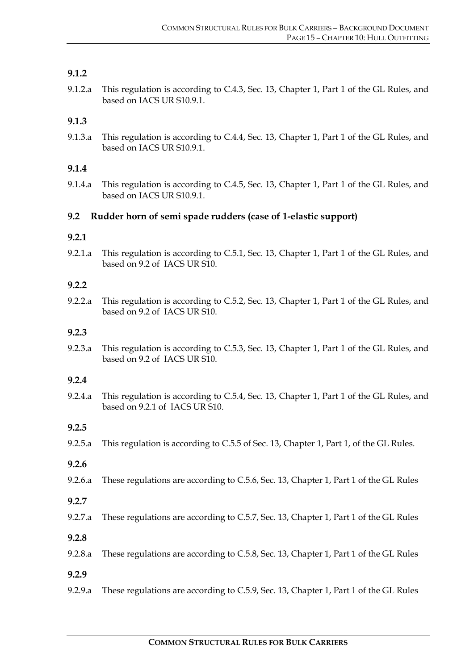# **9.1.2**

9.1.2.a This regulation is according to C.4.3, Sec. 13, Chapter 1, Part 1 of the GL Rules, and based on IACS UR S10.9.1.

# **9.1.3**

9.1.3.a This regulation is according to C.4.4, Sec. 13, Chapter 1, Part 1 of the GL Rules, and based on IACS UR S10.9.1.

# **9.1.4**

9.1.4.a This regulation is according to C.4.5, Sec. 13, Chapter 1, Part 1 of the GL Rules, and based on IACS UR S10.9.1.

# **9.2 Rudder horn of semi spade rudders (case of 1-elastic support)**

# **9.2.1**

9.2.1.a This regulation is according to C.5.1, Sec. 13, Chapter 1, Part 1 of the GL Rules, and based on 9.2 of IACS UR S10.

#### **9.2.2**

9.2.2.a This regulation is according to C.5.2, Sec. 13, Chapter 1, Part 1 of the GL Rules, and based on 9.2 of IACS UR S10.

### **9.2.3**

9.2.3.a This regulation is according to C.5.3, Sec. 13, Chapter 1, Part 1 of the GL Rules, and based on 9.2 of IACS UR S10.

#### **9.2.4**

9.2.4.a This regulation is according to C.5.4, Sec. 13, Chapter 1, Part 1 of the GL Rules, and based on 9.2.1 of IACS UR S10.

# **9.2.5**

9.2.5.a This regulation is according to C.5.5 of Sec. 13, Chapter 1, Part 1, of the GL Rules.

# **9.2.6**

9.2.6.a These regulations are according to C.5.6, Sec. 13, Chapter 1, Part 1 of the GL Rules

#### **9.2.7**

- 9.2.7.a These regulations are according to C.5.7, Sec. 13, Chapter 1, Part 1 of the GL Rules
- **9.2.8**
- 9.2.8.a These regulations are according to C.5.8, Sec. 13, Chapter 1, Part 1 of the GL Rules
- **9.2.9**
- 9.2.9.a These regulations are according to C.5.9, Sec. 13, Chapter 1, Part 1 of the GL Rules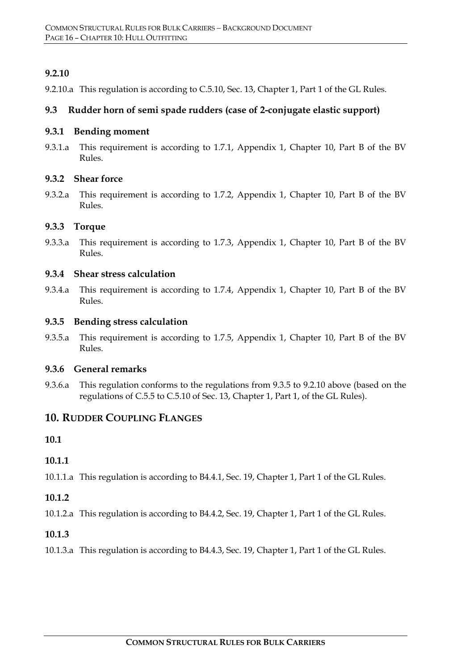# **9.2.10**

9.2.10.a This regulation is according to C.5.10, Sec. 13, Chapter 1, Part 1 of the GL Rules.

# **9.3 Rudder horn of semi spade rudders (case of 2-conjugate elastic support)**

#### **9.3.1 Bending moment**

9.3.1.a This requirement is according to 1.7.1, Appendix 1, Chapter 10, Part B of the BV Rules.

### **9.3.2 Shear force**

9.3.2.a This requirement is according to 1.7.2, Appendix 1, Chapter 10, Part B of the BV Rules.

#### **9.3.3 Torque**

9.3.3.a This requirement is according to 1.7.3, Appendix 1, Chapter 10, Part B of the BV Rules.

#### **9.3.4 Shear stress calculation**

9.3.4.a This requirement is according to 1.7.4, Appendix 1, Chapter 10, Part B of the BV Rules.

#### **9.3.5 Bending stress calculation**

9.3.5.a This requirement is according to 1.7.5, Appendix 1, Chapter 10, Part B of the BV Rules.

#### **9.3.6 General remarks**

9.3.6.a This regulation conforms to the regulations from 9.3.5 to 9.2.10 above (based on the regulations of C.5.5 to C.5.10 of Sec. 13, Chapter 1, Part 1, of the GL Rules).

# **10. RUDDER COUPLING FLANGES**

**10.1**

# **10.1.1**

10.1.1.a This regulation is according to B4.4.1, Sec. 19, Chapter 1, Part 1 of the GL Rules.

# **10.1.2**

10.1.2.a This regulation is according to B4.4.2, Sec. 19, Chapter 1, Part 1 of the GL Rules.

#### **10.1.3**

10.1.3.a This regulation is according to B4.4.3, Sec. 19, Chapter 1, Part 1 of the GL Rules.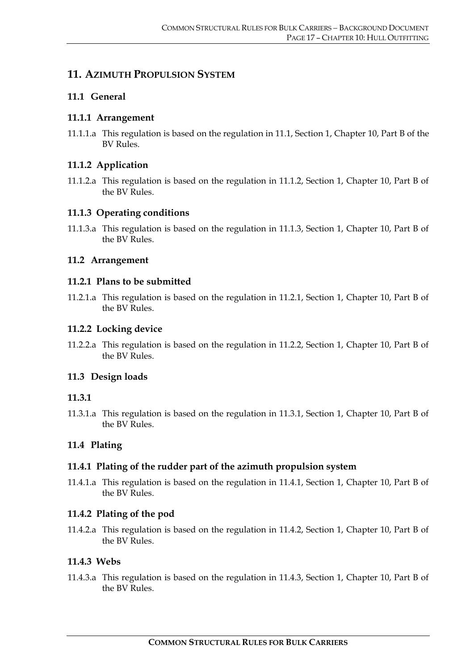# **11. AZIMUTH PROPULSION SYSTEM**

# **11.1 General**

# **11.1.1 Arrangement**

11.1.1.a This regulation is based on the regulation in 11.1, Section 1, Chapter 10, Part B of the BV Rules.

# **11.1.2 Application**

11.1.2.a This regulation is based on the regulation in 11.1.2, Section 1, Chapter 10, Part B of the BV Rules.

# **11.1.3 Operating conditions**

11.1.3.a This regulation is based on the regulation in 11.1.3, Section 1, Chapter 10, Part B of the BV Rules.

# **11.2 Arrangement**

# **11.2.1 Plans to be submitted**

11.2.1.a This regulation is based on the regulation in 11.2.1, Section 1, Chapter 10, Part B of the BV Rules.

# **11.2.2 Locking device**

11.2.2.a This regulation is based on the regulation in 11.2.2, Section 1, Chapter 10, Part B of the BV Rules.

# **11.3 Design loads**

# **11.3.1**

11.3.1.a This regulation is based on the regulation in 11.3.1, Section 1, Chapter 10, Part B of the BV Rules.

# **11.4 Plating**

# **11.4.1 Plating of the rudder part of the azimuth propulsion system**

11.4.1.a This regulation is based on the regulation in 11.4.1, Section 1, Chapter 10, Part B of the BV Rules.

# **11.4.2 Plating of the pod**

11.4.2.a This regulation is based on the regulation in 11.4.2, Section 1, Chapter 10, Part B of the BV Rules.

# **11.4.3 Webs**

11.4.3.a This regulation is based on the regulation in 11.4.3, Section 1, Chapter 10, Part B of the BV Rules.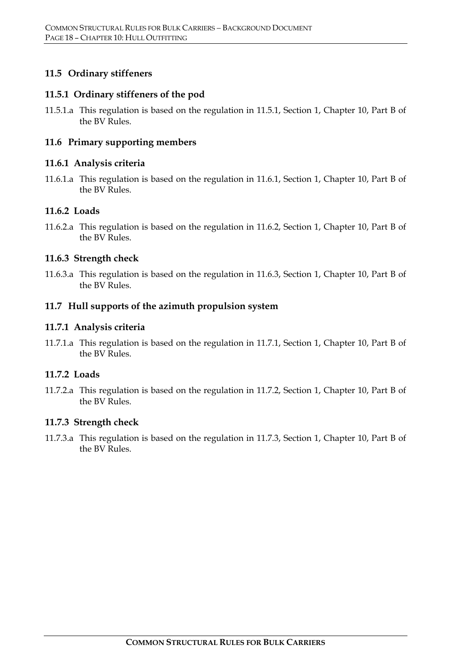# **11.5 Ordinary stiffeners**

#### **11.5.1 Ordinary stiffeners of the pod**

11.5.1.a This regulation is based on the regulation in 11.5.1, Section 1, Chapter 10, Part B of the BV Rules.

### **11.6 Primary supporting members**

#### **11.6.1 Analysis criteria**

11.6.1.a This regulation is based on the regulation in 11.6.1, Section 1, Chapter 10, Part B of the BV Rules.

#### **11.6.2 Loads**

11.6.2.a This regulation is based on the regulation in 11.6.2, Section 1, Chapter 10, Part B of the BV Rules.

#### **11.6.3 Strength check**

11.6.3.a This regulation is based on the regulation in 11.6.3, Section 1, Chapter 10, Part B of the BV Rules.

#### **11.7 Hull supports of the azimuth propulsion system**

#### **11.7.1 Analysis criteria**

11.7.1.a This regulation is based on the regulation in 11.7.1, Section 1, Chapter 10, Part B of the BV Rules.

# **11.7.2 Loads**

11.7.2.a This regulation is based on the regulation in 11.7.2, Section 1, Chapter 10, Part B of the BV Rules.

#### **11.7.3 Strength check**

11.7.3.a This regulation is based on the regulation in 11.7.3, Section 1, Chapter 10, Part B of the BV Rules.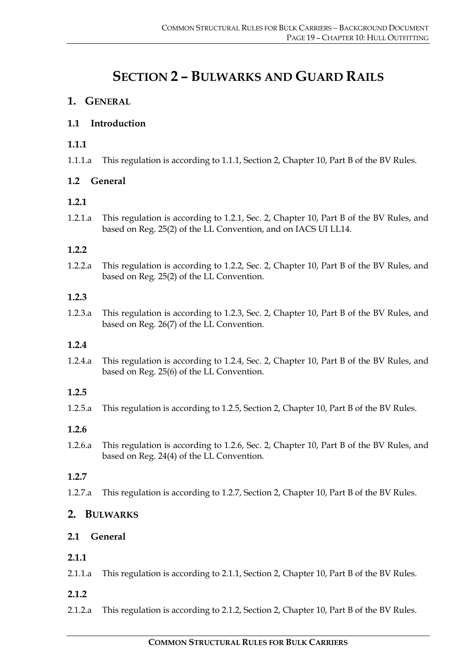# **SECTION 2 – BULWARKS AND GUARD RAILS**

# **1. GENERAL**

# **1.1 Introduction**

# **1.1.1**

1.1.1.a This regulation is according to 1.1.1, Section 2, Chapter 10, Part B of the BV Rules.

# **1.2 General**

# **1.2.1**

1.2.1.a This regulation is according to 1.2.1, Sec. 2, Chapter 10, Part B of the BV Rules, and based on Reg. 25(2) of the LL Convention, and on IACS UI LL14.

# **1.2.2**

1.2.2.a This regulation is according to 1.2.2, Sec. 2, Chapter 10, Part B of the BV Rules, and based on Reg. 25(2) of the LL Convention.

# **1.2.3**

1.2.3.a This regulation is according to 1.2.3, Sec. 2, Chapter 10, Part B of the BV Rules, and based on Reg. 26(7) of the LL Convention.

# **1.2.4**

1.2.4.a This regulation is according to 1.2.4, Sec. 2, Chapter 10, Part B of the BV Rules, and based on Reg. 25(6) of the LL Convention.

# **1.2.5**

1.2.5.a This regulation is according to 1.2.5, Section 2, Chapter 10, Part B of the BV Rules.

# **1.2.6**

1.2.6.a This regulation is according to 1.2.6, Sec. 2, Chapter 10, Part B of the BV Rules, and based on Reg. 24(4) of the LL Convention.

# **1.2.7**

1.2.7.a This regulation is according to 1.2.7, Section 2, Chapter 10, Part B of the BV Rules.

# **2. BULWARKS**

# **2.1 General**

# **2.1.1**

2.1.1.a This regulation is according to 2.1.1, Section 2, Chapter 10, Part B of the BV Rules.

- **2.1.2**
- 2.1.2.a This regulation is according to 2.1.2, Section 2, Chapter 10, Part B of the BV Rules.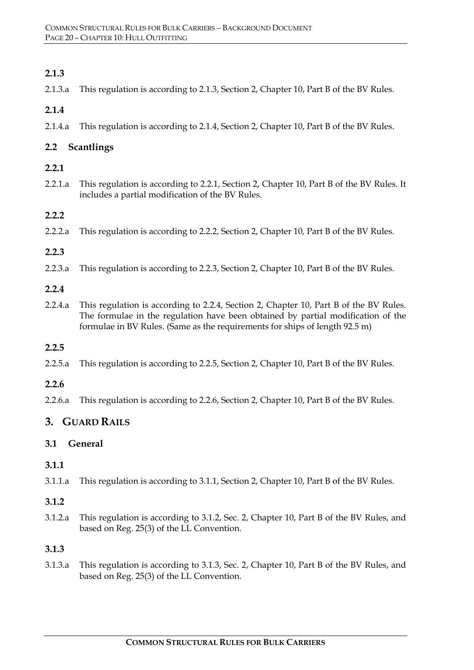# **2.1.3**

2.1.3.a This regulation is according to 2.1.3, Section 2, Chapter 10, Part B of the BV Rules.

# **2.1.4**

2.1.4.a This regulation is according to 2.1.4, Section 2, Chapter 10, Part B of the BV Rules.

# **2.2 Scantlings**

# **2.2.1**

2.2.1.a This regulation is according to 2.2.1, Section 2, Chapter 10, Part B of the BV Rules. It includes a partial modification of the BV Rules.

# **2.2.2**

2.2.2.a This regulation is according to 2.2.2, Section 2, Chapter 10, Part B of the BV Rules.

# **2.2.3**

2.2.3.a This regulation is according to 2.2.3, Section 2, Chapter 10, Part B of the BV Rules.

#### **2.2.4**

2.2.4.a This regulation is according to 2.2.4, Section 2, Chapter 10, Part B of the BV Rules. The formulae in the regulation have been obtained by partial modification of the formulae in BV Rules. (Same as the requirements for ships of length 92.5 m)

#### **2.2.5**

2.2.5.a This regulation is according to 2.2.5, Section 2, Chapter 10, Part B of the BV Rules.

# **2.2.6**

2.2.6.a This regulation is according to 2.2.6, Section 2, Chapter 10, Part B of the BV Rules.

# **3. GUARD RAILS**

# **3.1 General**

# **3.1.1**

3.1.1.a This regulation is according to 3.1.1, Section 2, Chapter 10, Part B of the BV Rules.

# **3.1.2**

3.1.2.a This regulation is according to 3.1.2, Sec. 2, Chapter 10, Part B of the BV Rules, and based on Reg. 25(3) of the LL Convention.

# **3.1.3**

3.1.3.a This regulation is according to 3.1.3, Sec. 2, Chapter 10, Part B of the BV Rules, and based on Reg. 25(3) of the LL Convention.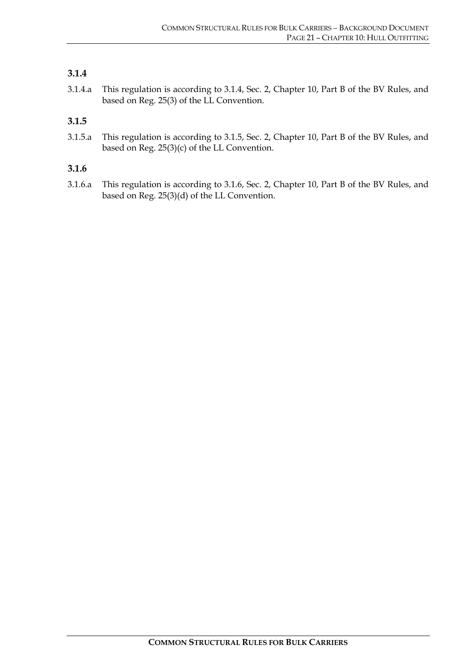# **3.1.4**

3.1.4.a This regulation is according to 3.1.4, Sec. 2, Chapter 10, Part B of the BV Rules, and based on Reg. 25(3) of the LL Convention.

# **3.1.5**

3.1.5.a This regulation is according to 3.1.5, Sec. 2, Chapter 10, Part B of the BV Rules, and based on Reg. 25(3)(c) of the LL Convention.

#### **3.1.6**

3.1.6.a This regulation is according to 3.1.6, Sec. 2, Chapter 10, Part B of the BV Rules, and based on Reg. 25(3)(d) of the LL Convention.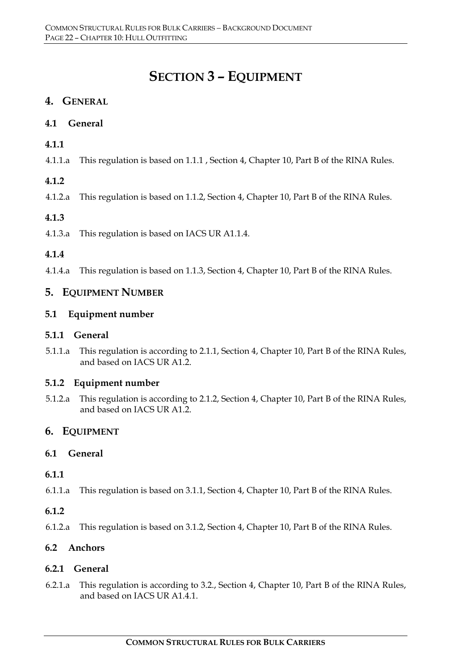# **SECTION 3 – EQUIPMENT**

# **4. GENERAL**

# **4.1 General**

# **4.1.1**

4.1.1.a This regulation is based on 1.1.1 , Section 4, Chapter 10, Part B of the RINA Rules.

# **4.1.2**

4.1.2.a This regulation is based on 1.1.2, Section 4, Chapter 10, Part B of the RINA Rules.

# **4.1.3**

4.1.3.a This regulation is based on IACS UR A1.1.4.

# **4.1.4**

4.1.4.a This regulation is based on 1.1.3, Section 4, Chapter 10, Part B of the RINA Rules.

# **5. EQUIPMENT NUMBER**

# **5.1 Equipment number**

# **5.1.1 General**

5.1.1.a This regulation is according to 2.1.1, Section 4, Chapter 10, Part B of the RINA Rules, and based on IACS UR A1.2.

# **5.1.2 Equipment number**

5.1.2.a This regulation is according to 2.1.2, Section 4, Chapter 10, Part B of the RINA Rules, and based on IACS UR A1.2.

# **6. EQUIPMENT**

# **6.1 General**

# **6.1.1**

6.1.1.a This regulation is based on 3.1.1, Section 4, Chapter 10, Part B of the RINA Rules.

# **6.1.2**

6.1.2.a This regulation is based on 3.1.2, Section 4, Chapter 10, Part B of the RINA Rules.

# **6.2 Anchors**

# **6.2.1 General**

6.2.1.a This regulation is according to 3.2., Section 4, Chapter 10, Part B of the RINA Rules, and based on IACS UR A1.4.1.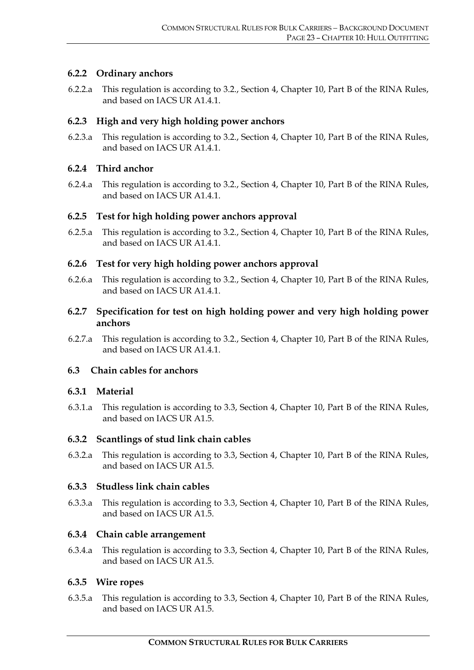# **6.2.2 Ordinary anchors**

6.2.2.a This regulation is according to 3.2., Section 4, Chapter 10, Part B of the RINA Rules, and based on IACS UR A1.4.1.

#### **6.2.3 High and very high holding power anchors**

6.2.3.a This regulation is according to 3.2., Section 4, Chapter 10, Part B of the RINA Rules, and based on IACS UR A1.4.1.

#### **6.2.4 Third anchor**

6.2.4.a This regulation is according to 3.2., Section 4, Chapter 10, Part B of the RINA Rules, and based on IACS UR A1.4.1.

#### **6.2.5 Test for high holding power anchors approval**

6.2.5.a This regulation is according to 3.2., Section 4, Chapter 10, Part B of the RINA Rules, and based on IACS UR A1.4.1.

#### **6.2.6 Test for very high holding power anchors approval**

6.2.6.a This regulation is according to 3.2., Section 4, Chapter 10, Part B of the RINA Rules, and based on IACS UR A1.4.1.

# **6.2.7 Specification for test on high holding power and very high holding power anchors**

6.2.7.a This regulation is according to 3.2., Section 4, Chapter 10, Part B of the RINA Rules, and based on IACS UR A1.4.1.

# **6.3 Chain cables for anchors**

#### **6.3.1 Material**

6.3.1.a This regulation is according to 3.3, Section 4, Chapter 10, Part B of the RINA Rules, and based on IACS UR A1.5.

# **6.3.2 Scantlings of stud link chain cables**

6.3.2.a This regulation is according to 3.3, Section 4, Chapter 10, Part B of the RINA Rules, and based on IACS UR A1.5.

#### **6.3.3 Studless link chain cables**

6.3.3.a This regulation is according to 3.3, Section 4, Chapter 10, Part B of the RINA Rules, and based on IACS UR A1.5.

#### **6.3.4 Chain cable arrangement**

6.3.4.a This regulation is according to 3.3, Section 4, Chapter 10, Part B of the RINA Rules, and based on IACS UR A1.5.

# **6.3.5 Wire ropes**

6.3.5.a This regulation is according to 3.3, Section 4, Chapter 10, Part B of the RINA Rules, and based on IACS UR A1.5.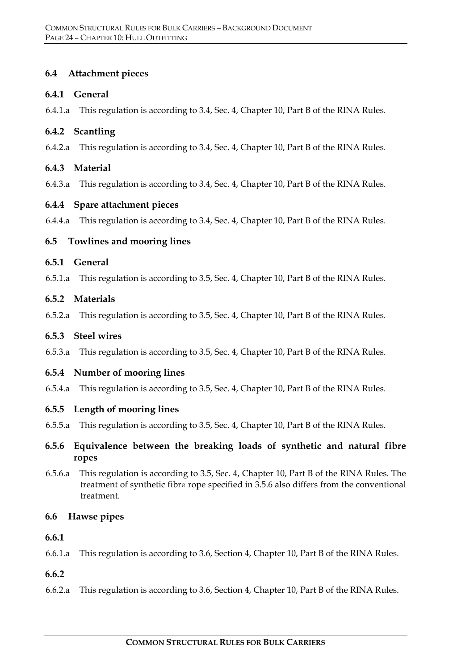# **6.4 Attachment pieces**

# **6.4.1 General**

6.4.1.a This regulation is according to 3.4, Sec. 4, Chapter 10, Part B of the RINA Rules.

# **6.4.2 Scantling**

6.4.2.a This regulation is according to 3.4, Sec. 4, Chapter 10, Part B of the RINA Rules.

# **6.4.3 Material**

6.4.3.a This regulation is according to 3.4, Sec. 4, Chapter 10, Part B of the RINA Rules.

# **6.4.4 Spare attachment pieces**

6.4.4.a This regulation is according to 3.4, Sec. 4, Chapter 10, Part B of the RINA Rules.

# **6.5 Towlines and mooring lines**

# **6.5.1 General**

6.5.1.a This regulation is according to 3.5, Sec. 4, Chapter 10, Part B of the RINA Rules.

# **6.5.2 Materials**

6.5.2.a This regulation is according to 3.5, Sec. 4, Chapter 10, Part B of the RINA Rules.

# **6.5.3 Steel wires**

6.5.3.a This regulation is according to 3.5, Sec. 4, Chapter 10, Part B of the RINA Rules.

# **6.5.4 Number of mooring lines**

6.5.4.a This regulation is according to 3.5, Sec. 4, Chapter 10, Part B of the RINA Rules.

# **6.5.5 Length of mooring lines**

- 6.5.5.a This regulation is according to 3.5, Sec. 4, Chapter 10, Part B of the RINA Rules.
- **6.5.6 Equivalence between the breaking loads of synthetic and natural fibre ropes**
- 6.5.6.a This regulation is according to 3.5, Sec. 4, Chapter 10, Part B of the RINA Rules. The treatment of synthetic fibre rope specified in 3.5.6 also differs from the conventional treatment.

# **6.6 Hawse pipes**

# **6.6.1**

6.6.1.a This regulation is according to 3.6, Section 4, Chapter 10, Part B of the RINA Rules.

# **6.6.2**

6.6.2.a This regulation is according to 3.6, Section 4, Chapter 10, Part B of the RINA Rules.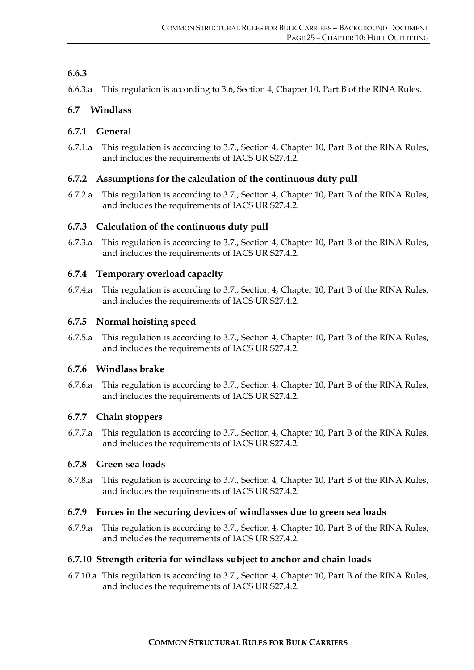# **6.6.3**

6.6.3.a This regulation is according to 3.6, Section 4, Chapter 10, Part B of the RINA Rules.

# **6.7 Windlass**

# **6.7.1 General**

6.7.1.a This regulation is according to 3.7., Section 4, Chapter 10, Part B of the RINA Rules, and includes the requirements of IACS UR S27.4.2.

# **6.7.2 Assumptions for the calculation of the continuous duty pull**

6.7.2.a This regulation is according to 3.7., Section 4, Chapter 10, Part B of the RINA Rules, and includes the requirements of IACS UR S27.4.2.

# **6.7.3 Calculation of the continuous duty pull**

6.7.3.a This regulation is according to 3.7., Section 4, Chapter 10, Part B of the RINA Rules, and includes the requirements of IACS UR S27.4.2.

# **6.7.4 Temporary overload capacity**

6.7.4.a This regulation is according to 3.7., Section 4, Chapter 10, Part B of the RINA Rules, and includes the requirements of IACS UR S27.4.2.

# **6.7.5 Normal hoisting speed**

6.7.5.a This regulation is according to 3.7., Section 4, Chapter 10, Part B of the RINA Rules, and includes the requirements of IACS UR S27.4.2.

# **6.7.6 Windlass brake**

6.7.6.a This regulation is according to 3.7., Section 4, Chapter 10, Part B of the RINA Rules, and includes the requirements of IACS UR S27.4.2.

# **6.7.7 Chain stoppers**

6.7.7.a This regulation is according to 3.7., Section 4, Chapter 10, Part B of the RINA Rules, and includes the requirements of IACS UR S27.4.2.

# **6.7.8 Green sea loads**

6.7.8.a This regulation is according to 3.7., Section 4, Chapter 10, Part B of the RINA Rules, and includes the requirements of IACS UR S27.4.2.

# **6.7.9 Forces in the securing devices of windlasses due to green sea loads**

6.7.9.a This regulation is according to 3.7., Section 4, Chapter 10, Part B of the RINA Rules, and includes the requirements of IACS UR S27.4.2.

#### **6.7.10 Strength criteria for windlass subject to anchor and chain loads**

6.7.10.a This regulation is according to 3.7., Section 4, Chapter 10, Part B of the RINA Rules, and includes the requirements of IACS UR S27.4.2.